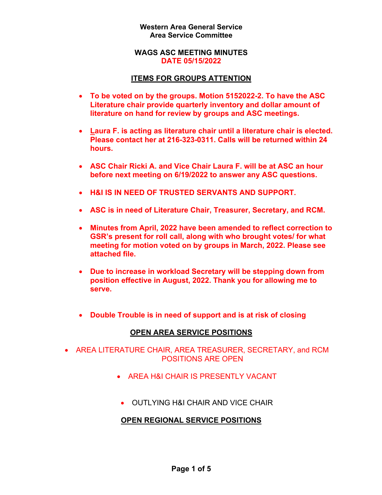#### **WAGS ASC MEETING MINUTES DATE 05/15/2022**

### **ITEMS FOR GROUPS ATTENTION**

- **To be voted on by the groups. Motion 5152022-2. To have the ASC Literature chair provide quarterly inventory and dollar amount of literature on hand for review by groups and ASC meetings.**
- **Laura F. is acting as literature chair until a literature chair is elected. Please contact her at 216-323-0311. Calls will be returned within 24 hours.**
- **ASC Chair Ricki A. and Vice Chair Laura F. will be at ASC an hour before next meeting on 6/19/2022 to answer any ASC questions.**
- **H&I IS IN NEED OF TRUSTED SERVANTS AND SUPPORT.**
- **ASC is in need of Literature Chair, Treasurer, Secretary, and RCM.**
- **Minutes from April, 2022 have been amended to reflect correction to GSR's present for roll call, along with who brought votes/ for what meeting for motion voted on by groups in March, 2022. Please see attached file.**
- **Due to increase in workload Secretary will be stepping down from position effective in August, 2022. Thank you for allowing me to serve.**
- **Double Trouble is in need of support and is at risk of closing**

# **OPEN AREA SERVICE POSITIONS**

- AREA LITERATURE CHAIR, AREA TREASURER, SECRETARY, and RCM POSITIONS ARE OPEN
	- AREA H&I CHAIR IS PRESENTLY VACANT
		- OUTLYING H&I CHAIR AND VICE CHAIR

# **OPEN REGIONAL SERVICE POSITIONS**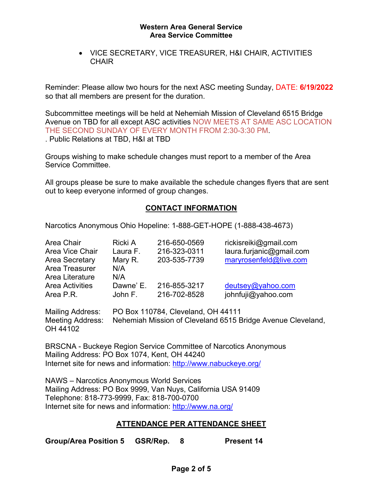• VICE SECRETARY, VICE TREASURER, H&I CHAIR, ACTIVITIES **CHAIR** 

Reminder: Please allow two hours for the next ASC meeting Sunday, DATE: **6/19/2022**  so that all members are present for the duration.

Subcommittee meetings will be held at Nehemiah Mission of Cleveland 6515 Bridge Avenue on TBD for all except ASC activities NOW MEETS AT SAME ASC LOCATION THE SECOND SUNDAY OF EVERY MONTH FROM 2:30-3:30 PM. . Public Relations at TBD, H&I at TBD

Groups wishing to make schedule changes must report to a member of the Area Service Committee.

All groups please be sure to make available the schedule changes flyers that are sent out to keep everyone informed of group changes.

# **CONTACT INFORMATION**

Narcotics Anonymous Ohio Hopeline: 1-888-GET-HOPE (1-888-438-4673)

| Area Chair<br>Area Vice Chair<br><b>Area Secretary</b><br>Area Treasurer<br>Area Literature | Ricki A<br>Laura F.<br>Mary R.<br>N/A<br>N/A | 216-650-0569<br>216-323-0311<br>203-535-7739 | rickisreiki@gmail.com<br>laura.furjanic@gmail.com<br>maryrosenfeld@live.com |
|---------------------------------------------------------------------------------------------|----------------------------------------------|----------------------------------------------|-----------------------------------------------------------------------------|
| <b>Area Activities</b>                                                                      | Dawne' E.                                    | 216-855-3217                                 | deutsey@yahoo.com                                                           |
| Area P.R.                                                                                   | John F.                                      | 216-702-8528                                 | johnfuji@yahoo.com                                                          |

Mailing Address: PO Box 110784, Cleveland, OH 44111 Meeting Address: Nehemiah Mission of Cleveland 6515 Bridge Avenue Cleveland, OH 44102

BRSCNA - Buckeye Region Service Committee of Narcotics Anonymous Mailing Address: PO Box 1074, Kent, OH 44240 Internet site for news and information: http://www.nabuckeye.org/

NAWS – Narcotics Anonymous World Services Mailing Address: PO Box 9999, Van Nuys, California USA 91409 Telephone: 818-773-9999, Fax: 818-700-0700 Internet site for news and information: http://www.na.org/

# **ATTENDANCE PER ATTENDANCE SHEET**

**Group/Area Position 5 GSR/Rep. 8 Present 14**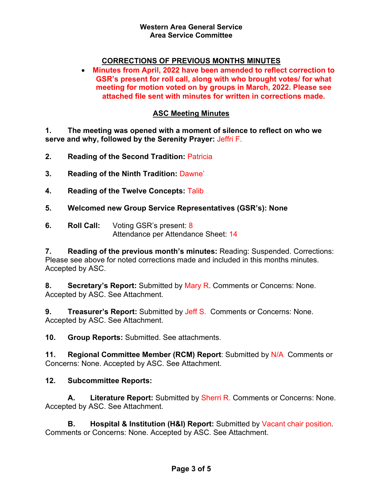# **CORRECTIONS OF PREVIOUS MONTHS MINUTES**

• **Minutes from April, 2022 have been amended to reflect correction to GSR's present for roll call, along with who brought votes/ for what meeting for motion voted on by groups in March, 2022. Please see attached file sent with minutes for written in corrections made.** 

### **ASC Meeting Minutes**

**1. The meeting was opened with a moment of silence to reflect on who we serve and why, followed by the Serenity Prayer:** Jeffri F.

- **2. Reading of the Second Tradition:** Patricia
- **3. Reading of the Ninth Tradition:** Dawne'
- **4. Reading of the Twelve Concepts:** Talib
- **5. Welcomed new Group Service Representatives (GSR's): None**
- **6. Roll Call:** Voting GSR's present: 8 Attendance per Attendance Sheet: 14

**7. Reading of the previous month's minutes:** Reading: Suspended. Corrections: Please see above for noted corrections made and included in this months minutes. Accepted by ASC.

**8. Secretary's Report:** Submitted by Mary R. Comments or Concerns: None. Accepted by ASC. See Attachment.

**9. Treasurer's Report:** Submitted by Jeff S. Comments or Concerns: None. Accepted by ASC. See Attachment.

**10. Group Reports:** Submitted. See attachments.

**11. Regional Committee Member (RCM) Report**: Submitted by N/A Comments or Concerns: None. Accepted by ASC. See Attachment.

### **12. Subcommittee Reports:**

**A. Literature Report:** Submitted by Sherri R. Comments or Concerns: None. Accepted by ASC. See Attachment.

**B. Hospital & Institution (H&I) Report:** Submitted by Vacant chair position. Comments or Concerns: None. Accepted by ASC. See Attachment.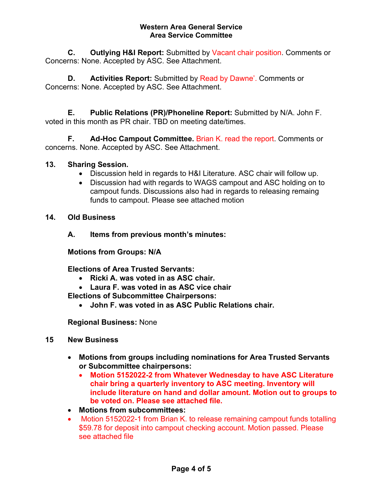**C. Outlying H&I Report:** Submitted by Vacant chair position. Comments or Concerns: None. Accepted by ASC. See Attachment.

**D. Activities Report:** Submitted by Read by Dawne'. Comments or Concerns: None. Accepted by ASC. See Attachment.

**E. Public Relations (PR)/Phoneline Report:** Submitted by N/A. John F. voted in this month as PR chair. TBD on meeting date/times.

**F. Ad-Hoc Campout Committee.** Brian K. read the report. Comments or concerns. None. Accepted by ASC. See Attachment.

### **13. Sharing Session.**

- Discussion held in regards to H&I Literature. ASC chair will follow up.
- Discussion had with regards to WAGS campout and ASC holding on to campout funds. Discussions also had in regards to releasing remaing funds to campout. Please see attached motion
- **14. Old Business** 
	- **A. Items from previous month's minutes:**

**Motions from Groups: N/A**

**Elections of Area Trusted Servants:** 

- **Ricki A. was voted in as ASC chair.**
- **Laura F. was voted in as ASC vice chair**

**Elections of Subcommittee Chairpersons:** 

• **John F. was voted in as ASC Public Relations chair.** 

**Regional Business:** None

- **15 New Business** 
	- **Motions from groups including nominations for Area Trusted Servants or Subcommittee chairpersons:** 
		- **Motion 5152022-2 from Whatever Wednesday to have ASC Literature chair bring a quarterly inventory to ASC meeting. Inventory will include literature on hand and dollar amount. Motion out to groups to be voted on. Please see attached file.**
	- **Motions from subcommittees:**
	- Motion 5152022-1 from Brian K. to release remaining campout funds totalling \$59.78 for deposit into campout checking account. Motion passed. Please see attached file